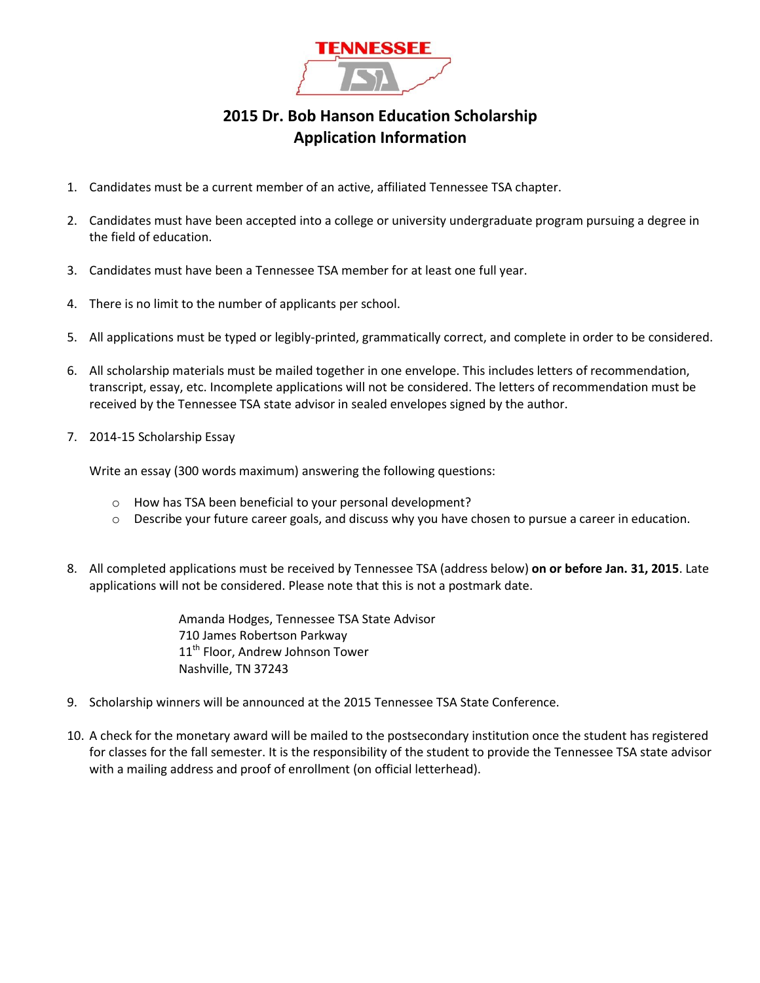

## **2015 Dr. Bob Hanson Education Scholarship Application Information**

- 1. Candidates must be a current member of an active, affiliated Tennessee TSA chapter.
- 2. Candidates must have been accepted into a college or university undergraduate program pursuing a degree in the field of education.
- 3. Candidates must have been a Tennessee TSA member for at least one full year.
- 4. There is no limit to the number of applicants per school.
- 5. All applications must be typed or legibly-printed, grammatically correct, and complete in order to be considered.
- 6. All scholarship materials must be mailed together in one envelope. This includes letters of recommendation, transcript, essay, etc. Incomplete applications will not be considered. The letters of recommendation must be received by the Tennessee TSA state advisor in sealed envelopes signed by the author.
- 7. 2014-15 Scholarship Essay

Write an essay (300 words maximum) answering the following questions:

- o How has TSA been beneficial to your personal development?
- o Describe your future career goals, and discuss why you have chosen to pursue a career in education.
- 8. All completed applications must be received by Tennessee TSA (address below) **on or before Jan. 31, 2015**. Late applications will not be considered. Please note that this is not a postmark date.

Amanda Hodges, Tennessee TSA State Advisor 710 James Robertson Parkway 11<sup>th</sup> Floor, Andrew Johnson Tower Nashville, TN 37243

- 9. Scholarship winners will be announced at the 2015 Tennessee TSA State Conference.
- 10. A check for the monetary award will be mailed to the postsecondary institution once the student has registered for classes for the fall semester. It is the responsibility of the student to provide the Tennessee TSA state advisor with a mailing address and proof of enrollment (on official letterhead).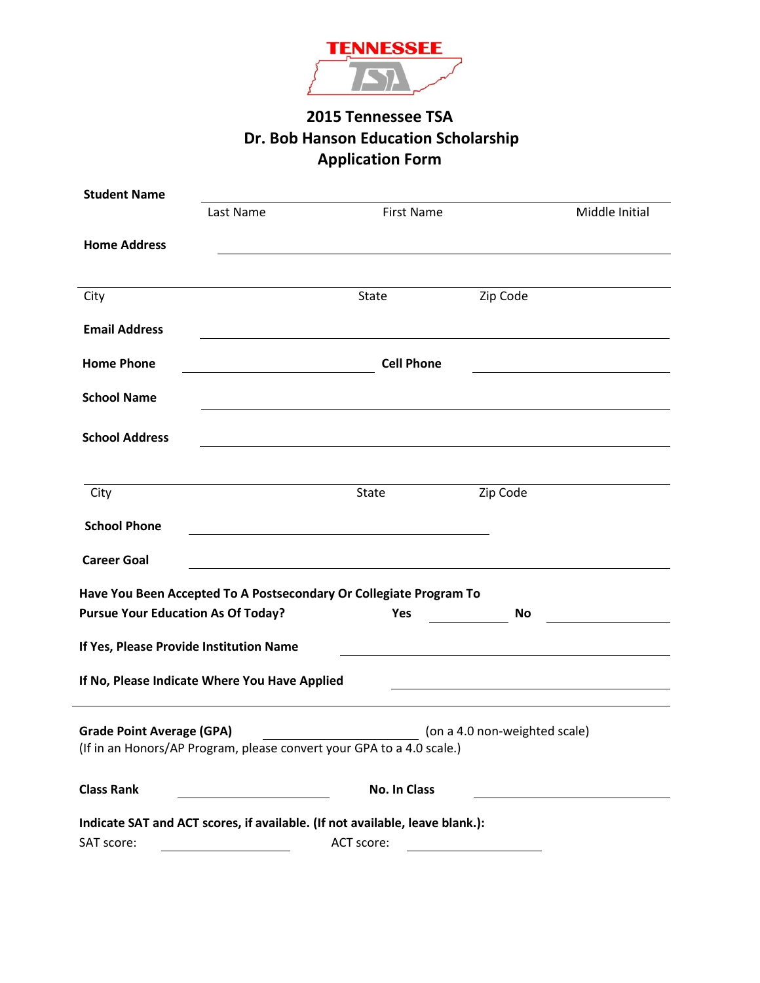

# **2015 Tennessee TSA Dr. Bob Hanson Education Scholarship Application Form**

| <b>Student Name</b>                       |                                                                                                                                            |                                                                                  |                                                                                                                       |  |  |
|-------------------------------------------|--------------------------------------------------------------------------------------------------------------------------------------------|----------------------------------------------------------------------------------|-----------------------------------------------------------------------------------------------------------------------|--|--|
|                                           | Last Name                                                                                                                                  | First Name                                                                       | Middle Initial                                                                                                        |  |  |
| <b>Home Address</b>                       |                                                                                                                                            |                                                                                  |                                                                                                                       |  |  |
| City                                      |                                                                                                                                            | State                                                                            | Zip Code                                                                                                              |  |  |
| <b>Email Address</b>                      |                                                                                                                                            |                                                                                  |                                                                                                                       |  |  |
| <b>Home Phone</b>                         | <b>Cell Phone</b><br><u> 1980 - Johann Stoff, deutscher Stoff, der Stoff, der Stoff, der Stoff, der Stoff, der Stoff, der Stoff, der S</u> |                                                                                  |                                                                                                                       |  |  |
| <b>School Name</b>                        |                                                                                                                                            |                                                                                  | and the control of the control of the control of the control of the control of the control of the control of the      |  |  |
| <b>School Address</b>                     |                                                                                                                                            |                                                                                  |                                                                                                                       |  |  |
| City                                      |                                                                                                                                            | <b>State</b>                                                                     | Zip Code                                                                                                              |  |  |
| <b>School Phone</b>                       |                                                                                                                                            |                                                                                  |                                                                                                                       |  |  |
| <b>Career Goal</b>                        |                                                                                                                                            |                                                                                  |                                                                                                                       |  |  |
| <b>Pursue Your Education As Of Today?</b> |                                                                                                                                            | Have You Been Accepted To A Postsecondary Or Collegiate Program To<br><b>Yes</b> | <b>No</b>                                                                                                             |  |  |
| If Yes, Please Provide Institution Name   |                                                                                                                                            |                                                                                  |                                                                                                                       |  |  |
|                                           | If No, Please Indicate Where You Have Applied                                                                                              |                                                                                  | <u> 1989 - Johann Barn, mars ann an t-Amhain Aonaich an t-Aonaich an t-Aonaich an t-Aonaich an t-Aonaich an t-Aon</u> |  |  |
| <b>Grade Point Average (GPA)</b>          |                                                                                                                                            | (If in an Honors/AP Program, please convert your GPA to a 4.0 scale.)            | (on a 4.0 non-weighted scale)                                                                                         |  |  |
| <b>Class Rank</b>                         |                                                                                                                                            | <b>No. In Class</b>                                                              |                                                                                                                       |  |  |
|                                           |                                                                                                                                            | Indicate SAT and ACT scores, if available. (If not available, leave blank.):     |                                                                                                                       |  |  |
| SAT score:                                |                                                                                                                                            | ACT score:                                                                       |                                                                                                                       |  |  |